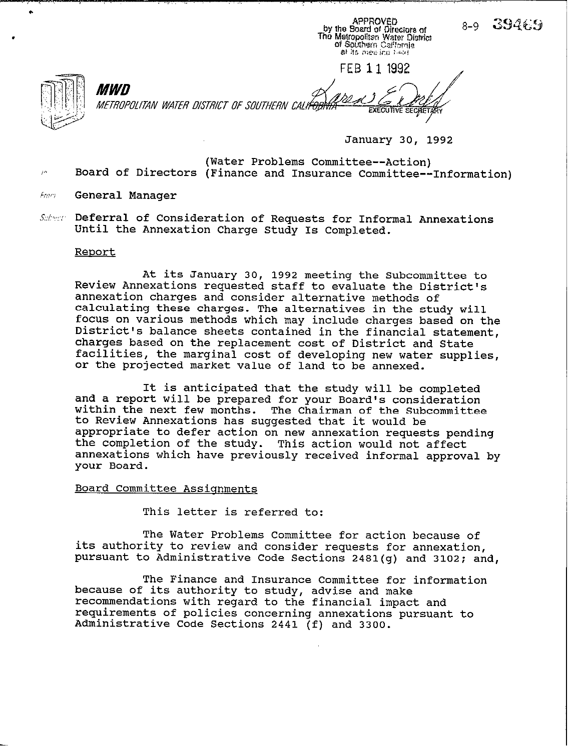APPROVED<br>by the Board of Directors of The Metropoliten Water District of Southern Callfornia al its meeling held

FEB 11 1992

.

.

*MWD* METROPOLITAN WATER DISTRICT OF SOUTHERN CALI<del>FORI</del>

**January 30, 1992** 

 $8-9$  394 $6.9$ 

- **(Water Problems Committee--Action) Board of Directors (Finance and Insurance Committee--Information)**
- Franz **General Manager**
- **Deferral of Consideration of Requests for Informal Annexations Until the Annexation Charge Study Is Completed.**

## **Reoort**

**At its January 30, 1992 meeting the Subcommittee to Review Annexations requested staff to evaluate the District's annexation charges and consider alternative methods of calculating these charges. The alternatives in the study will focus on various methods which may include charges based on the District's balance sheets contained in the financial statement, charges based on the replacement cost of District and State facilities, the marginal cost of developing new water supplies, or the projected market value of land to be annexed.** 

**It is anticipated that the study will be completed and a report will be prepared for your Board's consideration within the next few months. The Chairman of the Subcommittee to Review Annexations has suggested that it would be appropriate to defer action on new annexation requests pending the completion of the study. This action would not affect annexations which have previously received informal approval by your Board.** 

## **Board Committee Assionments**

**This letter is referred to:** 

**The Water Problems Committee for action because of its authority to review and consider requests for annexation, pursuant to Administrative Code Sections 2481(g) and 3102; and,** 

**The Finance and Insurance Committee for information because of its authority to study, advise and make recommendations with regard to the financial impact and requirements of policies concerning annexations pursuant to Administrative Code Sections 2441 (f) and 3300.**